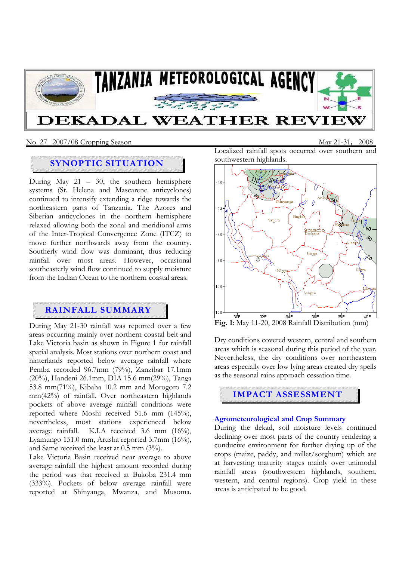

### No. 27 2007/08 Cropping Season May 21-31**,** 2008

# **SYNOPTIC SITUATION**

During May  $21 - 30$ , the southern hemisphere systems (St. Helena and Mascarene anticyclones) continued to intensify extending a ridge towards the northeastern parts of Tanzania. The Azores and Siberian anticyclones in the northern hemisphere relaxed allowing both the zonal and meridional arms of the Inter-Tropical Convergence Zone (ITCZ) to move further northwards away from the country. Southerly wind flow was dominant, thus reducing rainfall over most areas. However, occasional southeasterly wind flow continued to supply moisture from the Indian Ocean to the northern coastal areas.

# **RAINFALL SUMMARY**

During May 21-30 rainfall was reported over a few areas occurring mainly over northern coastal belt and Lake Victoria basin as shown in Figure 1 for rainfall spatial analysis. Most stations over northern coast and hinterlands reported below average rainfall where Pemba recorded 96.7mm (79%), Zanzibar 17.1mm (20%), Handeni 26.1mm, DIA 15.6 mm(29%), Tanga 53.8 mm(71%), Kibaha 10.2 mm and Morogoro 7.2 mm(42%) of rainfall. Over northeastern highlands pockets of above average rainfall conditions were reported where Moshi received 51.6 mm (145%), nevertheless, most stations experienced below average rainfall. K.I.A received 3.6 mm (16%), Lyamungo 151.0 mm, Arusha reported 3.7mm (16%), and Same received the least at 0.5 mm (3%).

Lake Victoria Basin received near average to above average rainfall the highest amount recorded during the period was that received at Bukoba 231.4 mm (333%). Pockets of below average rainfall were reported at Shinyanga, Mwanza, and Musoma.

Localized rainfall spots occurred over southern and southwestern highlands.



**Fig. 1**: May 11-20, 2008 Rainfall Distribution (mm)

Dry conditions covered western, central and southern areas which is seasonal during this period of the year. Nevertheless, the dry conditions over northeastern areas especially over low lying areas created dry spells as the seasonal rains approach cessation time.



## **Agrometeorological and Crop Summary**

During the dekad, soil moisture levels continued declining over most parts of the country rendering a conducive environment for further drying up of the crops (maize, paddy, and millet/sorghum) which are at harvesting maturity stages mainly over unimodal rainfall areas (southwestern highlands, southern, western, and central regions). Crop yield in these areas is anticipated to be good.